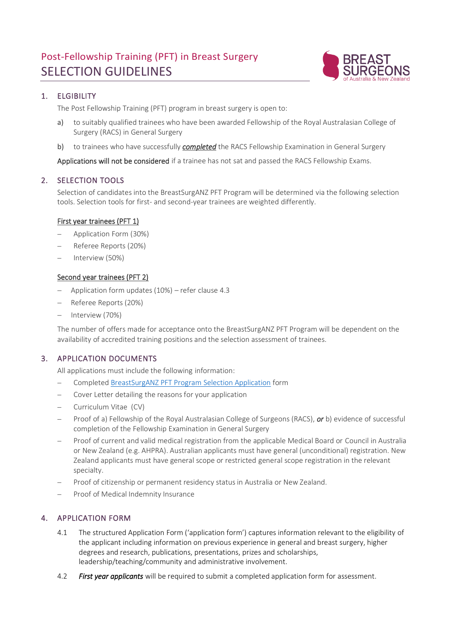# Post-Fellowship Training (PFT) in Breast Surgery SELECTION GUIDELINES



# 1. ELGIBILITY

The Post Fellowship Training (PFT) program in breast surgery is open to:

- a) to suitably qualified trainees who have been awarded Fellowship of the Royal Australasian College of Surgery (RACS) in General Surgery
- b) to trainees who have successfully *completed* the RACS Fellowship Examination in General Surgery

Applications will not be considered if a trainee has not sat and passed the RACS Fellowship Exams.

## 2. SELECTION TOOLS

Selection of candidates into the BreastSurgANZ PFT Program will be determined via the following selection tools. Selection tools for first- and second-year trainees are weighted differently.

## First year trainees (PFT 1)

- − Application Form (30%)
- − Referee Reports (20%)
- − Interview (50%)

## Second year trainees (PFT 2)

- − Application form updates (10%) refer clause 4.3
- − Referee Reports (20%)
- − Interview (70%)

The number of offers made for acceptance onto the BreastSurgANZ PFT Program will be dependent on the availability of accredited training positions and the selection assessment of trainees.

## 3. APPLICATION DOCUMENTS

All applications must include the following information:

- − Complete[d BreastSurgANZ PFT Program Selection Application](http://bsa.ivorydesign.com.au/wp-content/uploads/2022/02/FRM-Writable_2023-BreastSurgANZ-PFT-Program_Application-Form.pdf) form
- Cover Letter detailing the reasons for your application
- − Curriculum Vitae (CV)
- − Proof of a) Fellowship of the Royal Australasian College of Surgeons (RACS), *or* b) evidence of successful completion of the Fellowship Examination in General Surgery
- Proof of current and valid medical registration from the applicable Medical Board or Council in Australia or New Zealand (e.g. AHPRA). Australian applicants must have general (unconditional) registration. New Zealand applicants must have general scope or restricted general scope registration in the relevant specialty.
- Proof of citizenship or permanent residency status in Australia or New Zealand.
- Proof of Medical Indemnity Insurance

## 4. APPLICATION FORM

- 4.1 The structured Application Form ('application form') captures information relevant to the eligibility of the applicant including information on previous experience in general and breast surgery, higher degrees and research, publications, presentations, prizes and scholarships, leadership/teaching/community and administrative involvement.
- 4.2 *First year applicants* will be required to submit a completed application form for assessment.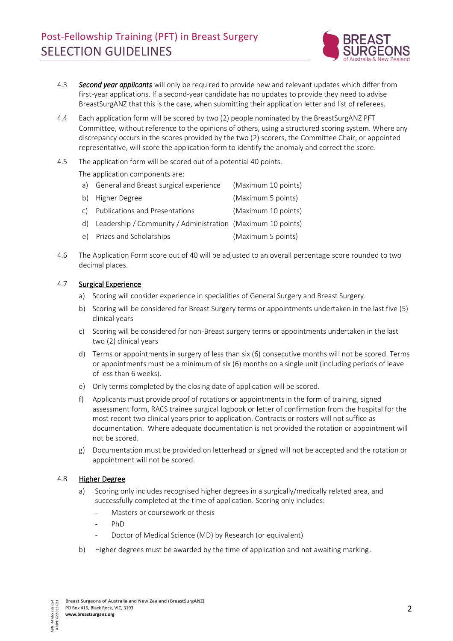

- 4.3 *Second year applicants* will only be required to provide new and relevant updates which differ from first-year applications. If a second-year candidate has no updates to provide they need to advise BreastSurgANZ that this is the case, when submitting their application letter and list of referees.
- 4.4 Each application form will be scored by two (2) people nominated by the BreastSurgANZ PFT Committee, without reference to the opinions of others, using a structured scoring system. Where any discrepancy occurs in the scores provided by the two (2) scorers, the Committee Chair, or appointed representative, will score the application form to identify the anomaly and correct the score.
- 4.5 The application form will be scored out of a potential 40 points.

The application components are:

- a) General and Breast surgical experience (Maximum 10 points)
- b) Higher Degree (Maximum 5 points)
- c) Publications and Presentations (Maximum 10 points)
- d) Leadership / Community / Administration (Maximum 10 points)
- e) Prizes and Scholarships (Maximum 5 points)
- 4.6 The Application Form score out of 40 will be adjusted to an overall percentage score rounded to two decimal places.

#### 4.7 Surgical Experience

- a) Scoring will consider experience in specialities of General Surgery and Breast Surgery.
- b) Scoring will be considered for Breast Surgery terms or appointments undertaken in the last five (5) clinical years
- c) Scoring will be considered for non-Breast surgery terms or appointments undertaken in the last two (2) clinical years
- d) Terms or appointments in surgery of less than six (6) consecutive months will not be scored. Terms or appointments must be a minimum of six (6) months on a single unit (including periods of leave of less than 6 weeks).
- e) Only terms completed by the closing date of application will be scored.
- f) Applicants must provide proof of rotations or appointments in the form of training, signed assessment form, RACS trainee surgical logbook or letter of confirmation from the hospital for the most recent two clinical years prior to application. Contracts or rosters will not suffice as documentation. Where adequate documentation is not provided the rotation or appointment will not be scored.
- g) Documentation must be provided on letterhead or signed will not be accepted and the rotation or appointment will not be scored.

## 4.8 Higher Degree

- a) Scoring only includes recognised higher degrees in a surgically/medically related area, and successfully completed at the time of application. Scoring only includes:
	- Masters or coursework or thesis
	- Ph<sub>D</sub>
	- Doctor of Medical Science (MD) by Research (or equivalent)
- b) Higher degrees must be awarded by the time of application and not awaiting marking.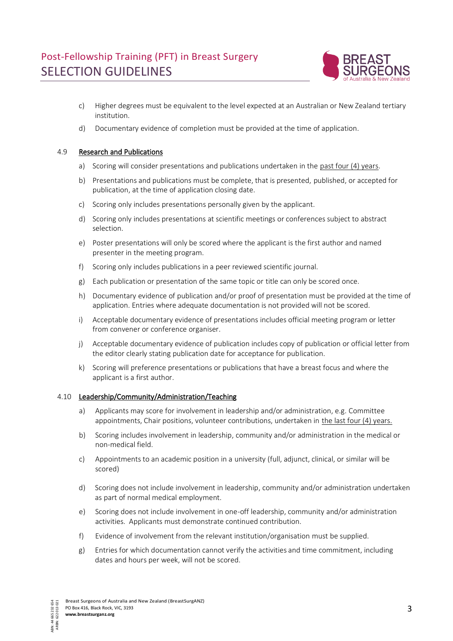

- c) Higher degrees must be equivalent to the level expected at an Australian or New Zealand tertiary institution.
- d) Documentary evidence of completion must be provided at the time of application.

## 4.9 Research and Publications

- a) Scoring will consider presentations and publications undertaken in the past four (4) years.
- b) Presentations and publications must be complete, that is presented, published, or accepted for publication, at the time of application closing date.
- c) Scoring only includes presentations personally given by the applicant.
- d) Scoring only includes presentations at scientific meetings or conferences subject to abstract selection.
- e) Poster presentations will only be scored where the applicant is the first author and named presenter in the meeting program.
- f) Scoring only includes publications in a peer reviewed scientific journal.
- g) Each publication or presentation of the same topic or title can only be scored once.
- h) Documentary evidence of publication and/or proof of presentation must be provided at the time of application. Entries where adequate documentation is not provided will not be scored.
- i) Acceptable documentary evidence of presentations includes official meeting program or letter from convener or conference organiser.
- j) Acceptable documentary evidence of publication includes copy of publication or official letter from the editor clearly stating publication date for acceptance for publication.
- k) Scoring will preference presentations or publications that have a breast focus and where the applicant is a first author.

#### 4.10 Leadership/Community/Administration/Teaching

- a) Applicants may score for involvement in leadership and/or administration, e.g. Committee appointments, Chair positions, volunteer contributions, undertaken in the last four (4) years.
- b) Scoring includes involvement in leadership, community and/or administration in the medical or non-medical field.
- c) Appointments to an academic position in a university (full, adjunct, clinical, or similar will be scored)
- d) Scoring does not include involvement in leadership, community and/or administration undertaken as part of normal medical employment.
- e) Scoring does not include involvement in one-off leadership, community and/or administration activities. Applicants must demonstrate continued contribution.
- f) Evidence of involvement from the relevant institution/organisation must be supplied.
- g) Entries for which documentation cannot verify the activities and time commitment, including dates and hours per week, will not be scored.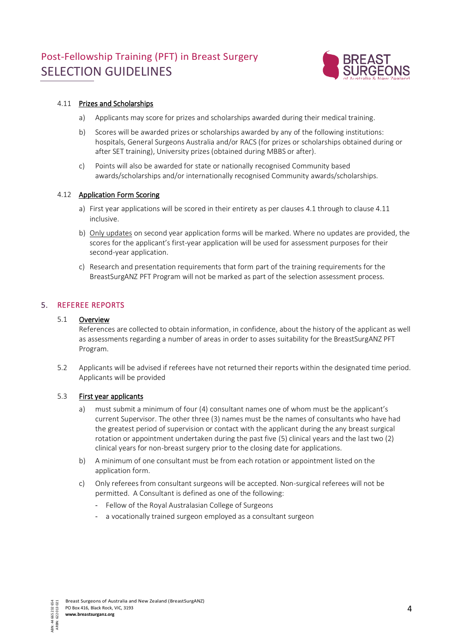# Post-Fellowship Training (PFT) in Breast Surgery SELECTION GUIDELINES



#### 4.11 Prizes and Scholarships

- a) Applicants may score for prizes and scholarships awarded during their medical training.
- b) Scores will be awarded prizes or scholarships awarded by any of the following institutions: hospitals, General Surgeons Australia and/or RACS (for prizes or scholarships obtained during or after SET training), University prizes (obtained during MBBS or after).
- c) Points will also be awarded for state or nationally recognised Community based awards/scholarships and/or internationally recognised Community awards/scholarships.

#### 4.12 Application Form Scoring

- a) First year applications will be scored in their entirety as per clauses 4.1 through to clause 4.11 inclusive.
- b) Only updates on second year application forms will be marked. Where no updates are provided, the scores for the applicant's first-year application will be used for assessment purposes for their second-year application.
- c) Research and presentation requirements that form part of the training requirements for the BreastSurgANZ PFT Program will not be marked as part of the selection assessment process.

## 5. REFEREE REPORTS

#### 5.1 Overview

References are collected to obtain information, in confidence, about the history of the applicant as well as assessments regarding a number of areas in order to asses suitability for the BreastSurgANZ PFT Program.

5.2 Applicants will be advised if referees have not returned their reports within the designated time period. Applicants will be provided

#### 5.3 First year applicants

- a) must submit a minimum of four (4) consultant names one of whom must be the applicant's current Supervisor. The other three (3) names must be the names of consultants who have had the greatest period of supervision or contact with the applicant during the any breast surgical rotation or appointment undertaken during the past five (5) clinical years and the last two (2) clinical years for non-breast surgery prior to the closing date for applications.
- b) A minimum of one consultant must be from each rotation or appointment listed on the application form.
- c) Only referees from consultant surgeons will be accepted. Non-surgical referees will not be permitted. A Consultant is defined as one of the following:
	- Fellow of the Royal Australasian College of Surgeons
	- a vocationally trained surgeon employed as a consultant surgeon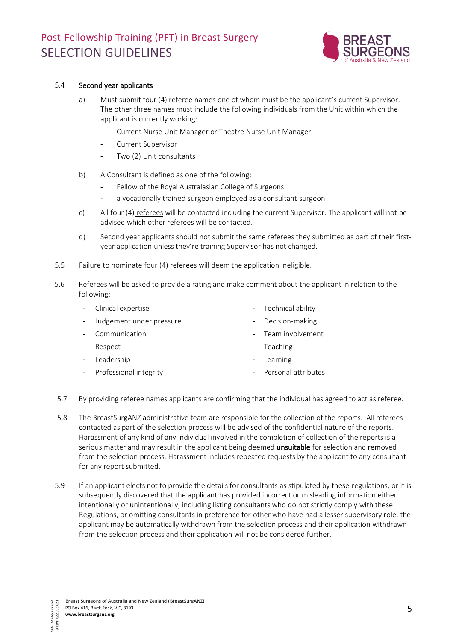

#### 5.4 Second year applicants

- a) Must submit four (4) referee names one of whom must be the applicant's current Supervisor. The other three names must include the following individuals from the Unit within which the applicant is currently working:
	- Current Nurse Unit Manager or Theatre Nurse Unit Manager
	- Current Supervisor
	- Two (2) Unit consultants
- b) A Consultant is defined as one of the following:
	- Fellow of the Royal Australasian College of Surgeons
	- a vocationally trained surgeon employed as a consultant surgeon
- c) All four (4) referees will be contacted including the current Supervisor. The applicant will not be advised which other referees will be contacted.
- d) Second year applicants should not submit the same referees they submitted as part of their firstyear application unless they're training Supervisor has not changed.
- 5.5 Failure to nominate four (4) referees will deem the application ineligible.
- 5.6 Referees will be asked to provide a rating and make comment about the applicant in relation to the following:

|            | - Clinical expertise       | - Technical ability   |
|------------|----------------------------|-----------------------|
|            | - Judgement under pressure | - Decision-making     |
| $\sim 100$ | Communication              | - Team involvement    |
| $\sim$ $-$ | Respect                    | - Teaching            |
|            | - Leadership               | - Learning            |
|            | - Professional integrity   | - Personal attributes |
|            |                            |                       |

- 5.7 By providing referee names applicants are confirming that the individual has agreed to act as referee.
- 5.8 The BreastSurgANZ administrative team are responsible for the collection of the reports. All referees contacted as part of the selection process will be advised of the confidential nature of the reports. Harassment of any kind of any individual involved in the completion of collection of the reports is a serious matter and may result in the applicant being deemed **unsuitable** for selection and removed from the selection process. Harassment includes repeated requests by the applicant to any consultant for any report submitted.
- 5.9 If an applicant elects not to provide the details for consultants as stipulated by these regulations, or it is subsequently discovered that the applicant has provided incorrect or misleading information either intentionally or unintentionally, including listing consultants who do not strictly comply with these Regulations, or omitting consultants in preference for other who have had a lesser supervisory role, the applicant may be automatically withdrawn from the selection process and their application withdrawn from the selection process and their application will not be considered further.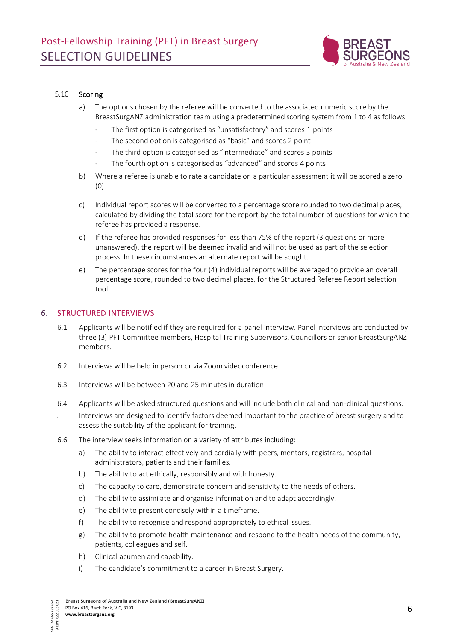

#### 5.10 Scoring

- a) The options chosen by the referee will be converted to the associated numeric score by the BreastSurgANZ administration team using a predetermined scoring system from 1 to 4 as follows:
	- The first option is categorised as "unsatisfactory" and scores 1 points
	- The second option is categorised as "basic" and scores 2 point
	- The third option is categorised as "intermediate" and scores 3 points
	- The fourth option is categorised as "advanced" and scores 4 points
- b) Where a referee is unable to rate a candidate on a particular assessment it will be scored a zero (0).
- c) Individual report scores will be converted to a percentage score rounded to two decimal places, calculated by dividing the total score for the report by the total number of questions for which the referee has provided a response.
- d) If the referee has provided responses for less than 75% of the report (3 questions or more unanswered), the report will be deemed invalid and will not be used as part of the selection process. In these circumstances an alternate report will be sought.
- e) The percentage scores for the four (4) individual reports will be averaged to provide an overall percentage score, rounded to two decimal places, for the Structured Referee Report selection tool.

## 6. STRUCTURED INTERVIEWS

- 6.1 Applicants will be notified if they are required for a panel interview. Panel interviews are conducted by three (3) PFT Committee members, Hospital Training Supervisors, Councillors or senior BreastSurgANZ members.
- 6.2 Interviews will be held in person or via Zoom videoconference.
- 6.3 Interviews will be between 20 and 25 minutes in duration.
- 6.4 Applicants will be asked structured questions and will include both clinical and non-clinical questions.
- Interviews are designed to identify factors deemed important to the practice of breast surgery and to assess the suitability of the applicant for training.
- 6.6 The interview seeks information on a variety of attributes including:
	- a) The ability to interact effectively and cordially with peers, mentors, registrars, hospital administrators, patients and their families.
	- b) The ability to act ethically, responsibly and with honesty.
	- c) The capacity to care, demonstrate concern and sensitivity to the needs of others.
	- d) The ability to assimilate and organise information and to adapt accordingly.
	- e) The ability to present concisely within a timeframe.
	- f) The ability to recognise and respond appropriately to ethical issues.
	- g) The ability to promote health maintenance and respond to the health needs of the community, patients, colleagues and self.
	- h) Clinical acumen and capability.
	- i) The candidate's commitment to a career in Breast Surgery.

Breast Surgeons of Australia and New Zealand (BreastSurgANZ) 654<br>021 ARBN: 622 013 021 PO Box 416, Black Rock, VIC, 3193 **www.breastsurganz.org**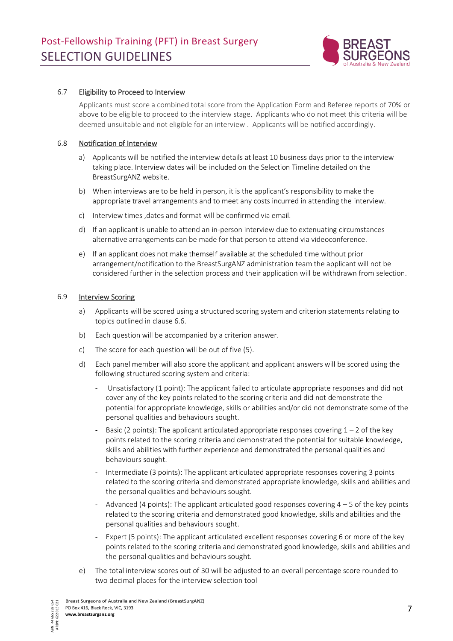

#### 6.7 Eligibility to Proceed to Interview

Applicants must score a combined total score from the Application Form and Referee reports of 70% or above to be eligible to proceed to the interview stage. Applicants who do not meet this criteria will be deemed unsuitable and not eligible for an interview . Applicants will be notified accordingly.

#### 6.8 Notification of Interview

- a) Applicants will be notified the interview details at least 10 business days prior to the interview taking place. Interview dates will be included on the Selection Timeline detailed on the BreastSurgANZ website.
- b) When interviews are to be held in person, it is the applicant's responsibility to make the appropriate travel arrangements and to meet any costs incurred in attending the interview.
- c) Interview times ,dates and format will be confirmed via email.
- d) If an applicant is unable to attend an in-person interview due to extenuating circumstances alternative arrangements can be made for that person to attend via videoconference.
- e) If an applicant does not make themself available at the scheduled time without prior arrangement/notification to the BreastSurgANZ administration team the applicant will not be considered further in the selection process and their application will be withdrawn from selection.

#### 6.9 Interview Scoring

- a) Applicants will be scored using a structured scoring system and criterion statements relating to topics outlined in clause 6.6.
- b) Each question will be accompanied by a criterion answer.
- c) The score for each question will be out of five (5).
- d) Each panel member will also score the applicant and applicant answers will be scored using the following structured scoring system and criteria:
	- Unsatisfactory (1 point): The applicant failed to articulate appropriate responses and did not cover any of the key points related to the scoring criteria and did not demonstrate the potential for appropriate knowledge, skills or abilities and/or did not demonstrate some of the personal qualities and behaviours sought.
	- Basic (2 points): The applicant articulated appropriate responses covering  $1 2$  of the key points related to the scoring criteria and demonstrated the potential for suitable knowledge, skills and abilities with further experience and demonstrated the personal qualities and behaviours sought.
	- Intermediate (3 points): The applicant articulated appropriate responses covering 3 points related to the scoring criteria and demonstrated appropriate knowledge, skills and abilities and the personal qualities and behaviours sought.
	- Advanced (4 points): The applicant articulated good responses covering  $4 5$  of the key points related to the scoring criteria and demonstrated good knowledge, skills and abilities and the personal qualities and behaviours sought.
	- Expert (5 points): The applicant articulated excellent responses covering 6 or more of the key points related to the scoring criteria and demonstrated good knowledge, skills and abilities and the personal qualities and behaviours sought.
- e) The total interview scores out of 30 will be adjusted to an overall percentage score rounded to two decimal places for the interview selection tool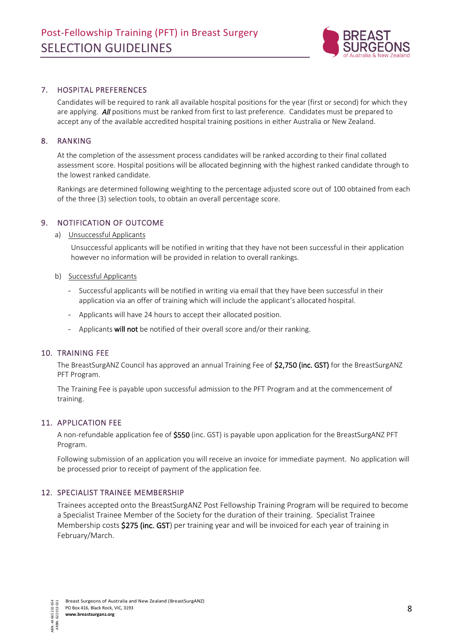

## 7. HOSPITAL PREFERENCES

Candidates will be required to rank all available hospital positions for the year (first or second) for which they are applying. *All* positions must be ranked from first to last preference. Candidates must be prepared to accept any of the available accredited hospital training positions in either Australia or New Zealand.

#### 8. RANKING

At the completion of the assessment process candidates will be ranked according to their final collated assessment score. Hospital positions will be allocated beginning with the highest ranked candidate through to the lowest ranked candidate.

Rankings are determined following weighting to the percentage adjusted score out of 100 obtained from each of the three (3) selection tools, to obtain an overall percentage score.

#### 9. NOTIFICATION OF OUTCOME

a) Unsuccessful Applicants

Unsuccessful applicants will be notified in writing that they have not been successful in their application however no information will be provided in relation to overall rankings.

- b) Successful Applicants
	- Successful applicants will be notified in writing via email that they have been successful in their application via an offer of training which will include the applicant's allocated hospital.
	- Applicants will have 24 hours to accept their allocated position.
	- Applicants will not be notified of their overall score and/or their ranking.

#### 10. TRAINING FEE

The BreastSurgANZ Council has approved an annual Training Fee of \$2,750 (inc. GST) for the BreastSurgANZ PFT Program.

The Training Fee is payable upon successful admission to the PFT Program and at the commencement of training.

## 11. APPLICATION FEE

A non-refundable application fee of \$550 (inc. GST) is payable upon application for the BreastSurgANZ PFT Program.

Following submission of an application you will receive an invoice for immediate payment. No application will be processed prior to receipt of payment of the application fee.

#### 12. SPECIALIST TRAINEE MEMBERSHIP

Trainees accepted onto the BreastSurgANZ Post Fellowship Training Program will be required to become a Specialist Trainee Member of the Society for the duration of their training. Specialist Trainee Membership costs \$275 (inc. GST) per training year and will be invoiced for each year of training in February/March.